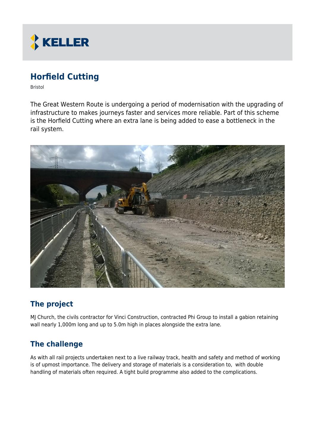

# **Horfield Cutting**

Bristol

The Great Western Route is undergoing a period of modernisation with the upgrading of infrastructure to makes journeys faster and services more reliable. Part of this scheme is the Horfield Cutting where an extra lane is being added to ease a bottleneck in the rail system.



## **The project**

MJ Church, the civils contractor for Vinci Construction, contracted Phi Group to install a gabion retaining wall nearly 1,000m long and up to 5.0m high in places alongside the extra lane.

### **The challenge**

As with all rail projects undertaken next to a live railway track, health and safety and method of working is of upmost importance. The delivery and storage of materials is a consideration to, with double handling of materials often required. A tight build programme also added to the complications.